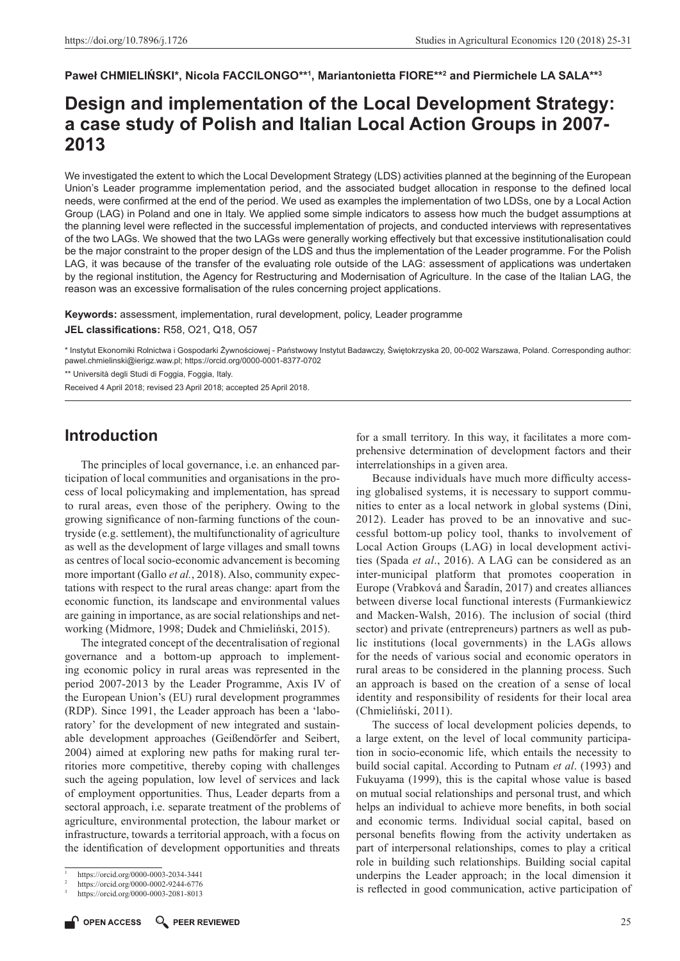#### $\blacksquare$ **Paweł CHMIELINSKI\*, Nicola FACCILONGO\*\***1, Mariantonietta FIORE\*\*<sup>2</sup> and Piermichele LA SALA\*\*3

# **Design and implementation of the Local Development Strategy: a case study of Polish and Italian Local Action Groups in 2007- 2013**

We investigated the extent to which the Local Development Strategy (LDS) activities planned at the beginning of the European Union's Leader programme implementation period, and the associated budget allocation in response to the defined local needs, were confirmed at the end of the period. We used as examples the implementation of two LDSs, one by a Local Action Group (LAG) in Poland and one in Italy. We applied some simple indicators to assess how much the budget assumptions at the planning level were reflected in the successful implementation of projects, and conducted interviews with representatives of the two LAGs. We showed that the two LAGs were generally working effectively but that excessive institutionalisation could be the major constraint to the proper design of the LDS and thus the implementation of the Leader programme. For the Polish LAG, it was because of the transfer of the evaluating role outside of the LAG: assessment of applications was undertaken by the regional institution, the Agency for Restructuring and Modernisation of Agriculture. In the case of the Italian LAG, the reason was an excessive formalisation of the rules concerning project applications.

**Keywords:** assessment, implementation, rural development, policy, Leader programme

**JEL classifications:** R58, O21, Q18, O57

\* Instytut Ekonomiki Rolnictwa i Gospodarki Żywnościowej - Państwowy Instytut Badawczy, Świętokrzyska 20, 00-002 Warszawa, Poland. Corresponding author: [pawel.chmielinski@ierigz.waw.pl](mailto:pawel.chmielinski@ierigz.waw.pl); <https://orcid.org/0000-0001-8377-0702>

\*\* Università degli Studi di Foggia, Foggia, Italy.

Received 4 April 2018; revised 23 April 2018; accepted 25 April 2018.

# **Introduction**

The principles of local governance, i.e. an enhanced participation of local communities and organisations in the process of local policymaking and implementation, has spread to rural areas, even those of the periphery. Owing to the growing significance of non-farming functions of the countryside (e.g. settlement), the multifunctionality of agriculture as well as the development of large villages and small towns as centres of local socio-economic advancement is becoming more important (Gallo *et al.*, 2018). Also, community expectations with respect to the rural areas change: apart from the economic function, its landscape and environmental values are gaining in importance, as are social relationships and networking (Midmore, 1998; Dudek and Chmieliński, 2015).

The integrated concept of the decentralisation of regional governance and a bottom-up approach to implementing economic policy in rural areas was represented in the period 2007-2013 by the Leader Programme, Axis IV of the European Union's (EU) rural development programmes (RDP). Since 1991, the Leader approach has been a 'laboratory' for the development of new integrated and sustainable development approaches (Geißendörfer and Seibert, 2004) aimed at exploring new paths for making rural territories more competitive, thereby coping with challenges such the ageing population, low level of services and lack of employment opportunities. Thus, Leader departs from a sectoral approach, i.e. separate treatment of the problems of agriculture, environmental protection, the labour market or infrastructure, towards a territorial approach, with a focus on the identification of development opportunities and threats

for a small territory. In this way, it facilitates a more comprehensive determination of development factors and their interrelationships in a given area.

Because individuals have much more difficulty accessing globalised systems, it is necessary to support communities to enter as a local network in global systems (Dini, 2012). Leader has proved to be an innovative and successful bottom-up policy tool, thanks to involvement of Local Action Groups (LAG) in local development activities (Spada *et al*., 2016). A LAG can be considered as an inter-municipal platform that promotes cooperation in Europe (Vrabková and Šaradín, 2017) and creates alliances between diverse local functional interests (Furmankiewicz and Macken-Walsh, 2016). The inclusion of social (third sector) and private (entrepreneurs) partners as well as public institutions (local governments) in the LAGs allows for the needs of various social and economic operators in rural areas to be considered in the planning process. Such an approach is based on the creation of a sense of local identity and responsibility of residents for their local area (Chmieliński, 2011).

The success of local development policies depends, to a large extent, on the level of local community participation in socio-economic life, which entails the necessity to build social capital. According to Putnam *et al*. (1993) and Fukuyama (1999), this is the capital whose value is based on mutual social relationships and personal trust, and which helps an individual to achieve more benefits, in both social and economic terms. Individual social capital, based on personal benefits flowing from the activity undertaken as part of interpersonal relationships, comes to play a critical role in building such relationships. Building social capital underpins the Leader approach; in the local dimension it is reflected in good communication, active participation of

<sup>1</sup> <https://orcid.org/0000-0003-2034-3441>

<sup>2</sup> <https://orcid.org/0000-0002-9244-6776>

<sup>3</sup> <https://orcid.org/0000-0003-2081-8013>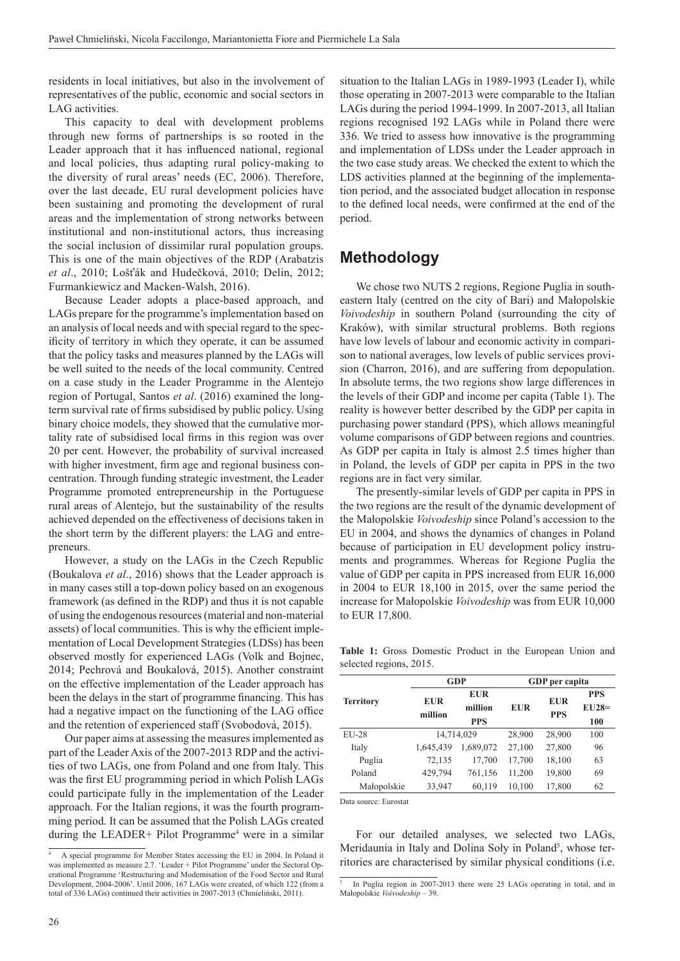residents in local initiatives, but also in the involvement of representatives of the public, economic and social sectors in LAG activities.

This capacity to deal with development problems through new forms of partnerships is so rooted in the Leader approach that it has influenced national, regional and local policies, thus adapting rural policy-making to the diversity of rural areas' needs (EC, 2006). Therefore, over the last decade, EU rural development policies have been sustaining and promoting the development of rural areas and the implementation of strong networks between institutional and non-institutional actors, thus increasing the social inclusion of dissimilar rural population groups. This is one of the main objectives of the RDP (Arabatzis *et al*., 2010; Lošťák and Hudečková, 2010; Delin, 2012; Furmankiewicz and Macken-Walsh, 2016).

Because Leader adopts a place-based approach, and LAGs prepare for the programme's implementation based on an analysis of local needs and with special regard to the specificity of territory in which they operate, it can be assumed that the policy tasks and measures planned by the LAGs will be well suited to the needs of the local community. Centred on a case study in the Leader Programme in the Alentejo region of Portugal, Santos *et al*. (2016) examined the longterm survival rate of firms subsidised by public policy. Using binary choice models, they showed that the cumulative mortality rate of subsidised local firms in this region was over 20 per cent. However, the probability of survival increased with higher investment, firm age and regional business concentration. Through funding strategic investment, the Leader Programme promoted entrepreneurship in the Portuguese rural areas of Alentejo, but the sustainability of the results achieved depended on the effectiveness of decisions taken in the short term by the different players: the LAG and entrepreneurs.

However, a study on the LAGs in the Czech Republic (Boukalova *et al*., 2016) shows that the Leader approach is in many cases still a top-down policy based on an exogenous framework (as defined in the RDP) and thus it is not capable of using the endogenous resources (material and non-material assets) of local communities. This is why the efficient implementation of Local Development Strategies (LDSs) has been observed mostly for experienced LAGs (Volk and Bojnec, 2014; Pechrová and Boukalová, 2015). Another constraint on the effective implementation of the Leader approach has been the delays in the start of programme financing. This has had a negative impact on the functioning of the LAG office and the retention of experienced staff (Svobodová, 2015).

Our paper aims at assessing the measures implemented as part of the Leader Axis of the 2007-2013 RDP and the activities of two LAGs, one from Poland and one from Italy. This was the first EU programming period in which Polish LAGs could participate fully in the implementation of the Leader approach. For the Italian regions, it was the fourth programming period. It can be assumed that the Polish LAGs created during the LEADER+ Pilot Programme<sup>4</sup> were in a similar situation to the Italian LAGs in 1989-1993 (Leader I), while those operating in 2007-2013 were comparable to the Italian LAGs during the period 1994-1999. In 2007-2013, all Italian regions recognised 192 LAGs while in Poland there were 336. We tried to assess how innovative is the programming and implementation of LDSs under the Leader approach in the two case study areas. We checked the extent to which the LDS activities planned at the beginning of the implementation period, and the associated budget allocation in response to the defined local needs, were confirmed at the end of the period.

# **Methodology**

We chose two NUTS 2 regions, Regione Puglia in southeastern Italy (centred on the city of Bari) and Małopolskie *Voivodeship* in southern Poland (surrounding the city of Kraków), with similar structural problems. Both regions have low levels of labour and economic activity in comparison to national averages, low levels of public services provision (Charron, 2016), and are suffering from depopulation. In absolute terms, the two regions show large differences in the levels of their GDP and income per capita (Table 1). The reality is however better described by the GDP per capita in purchasing power standard (PPS), which allows meaningful volume comparisons of GDP between regions and countries. As GDP per capita in Italy is almost 2.5 times higher than in Poland, the levels of GDP per capita in PPS in the two regions are in fact very similar.

The presently-similar levels of GDP per capita in PPS in the two regions are the result of the dynamic development of the Małopolskie *Voivodeship* since Poland's accession to the EU in 2004, and shows the dynamics of changes in Poland because of participation in EU development policy instruments and programmes. Whereas for Regione Puglia the value of GDP per capita in PPS increased from EUR 16,000 in 2004 to EUR 18,100 in 2015, over the same period the increase for Małopolskie *Voivodeship* was from EUR 10,000 to EUR 17,800.

**Table 1:** Gross Domestic Product in the European Union and selected regions, 2015.

|                  |                        | <b>GDP</b> | GDP per capita |            |            |  |  |
|------------------|------------------------|------------|----------------|------------|------------|--|--|
| <b>Territory</b> | <b>EUR</b>             | <b>EUR</b> |                | <b>EUR</b> | <b>PPS</b> |  |  |
|                  | million                | million    | <b>EUR</b>     | <b>PPS</b> | $EU28=$    |  |  |
|                  |                        | <b>PPS</b> |                |            | 100        |  |  |
| $EU-28$          | 14.714.029             |            | 28,900         | 28,900     | 100        |  |  |
| Italy            | 1,689,072<br>1,645,439 |            | 27,100         | 27,800     | 96         |  |  |
| Puglia           | 72,135                 | 17,700     |                | 18,100     | 63         |  |  |
| Poland           | 429,794<br>761,156     |            | 11,200         | 19,800     | 69         |  |  |
| Małopolskie      | 33,947<br>60,119       |            | 10,100         | 17,800     | 62         |  |  |

Data source: Eurostat

For our detailed analyses, we selected two LAGs, Meridaunia in Italy and Dolina Soły in Poland<sup>5</sup>, whose territories are characterised by similar physical conditions (i.e.

<sup>4</sup> A special programme for Member States accessing the EU in 2004. In Poland it was implemented as measure 2.7. 'Leader + Pilot Programme' under the Sectoral Operational Programme 'Restructuring and Modernisation of the Food Sector and Rural Development, 2004-2006'. Until 2006, 167 LAGs were created, of which 122 (from a total of 336 LAGs) continued their activities in 2007-2013 (Chmieliński, 2011).

<sup>5</sup> In Puglia region in 2007-2013 there were 25 LAGs operating in total, and in Małopolskie *Voivodeship* – 39.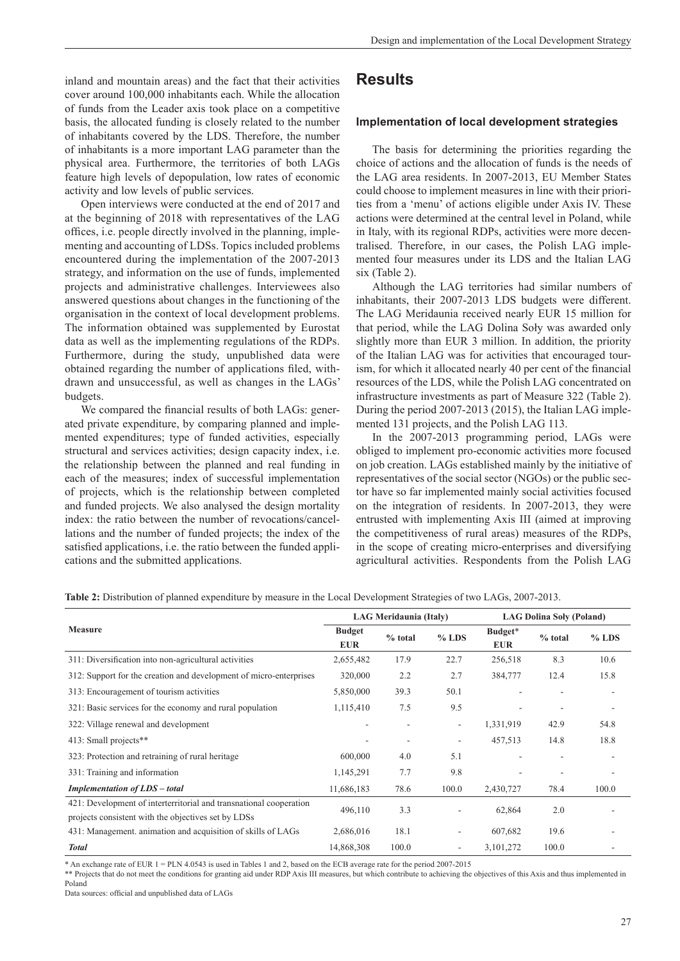inland and mountain areas) and the fact that their activities cover around 100,000 inhabitants each. While the allocation of funds from the Leader axis took place on a competitive basis, the allocated funding is closely related to the number of inhabitants covered by the LDS. Therefore, the number of inhabitants is a more important LAG parameter than the physical area. Furthermore, the territories of both LAGs feature high levels of depopulation, low rates of economic activity and low levels of public services.

Open interviews were conducted at the end of 2017 and at the beginning of 2018 with representatives of the LAG offices, i.e. people directly involved in the planning, implementing and accounting of LDSs. Topics included problems encountered during the implementation of the 2007-2013 strategy, and information on the use of funds, implemented projects and administrative challenges. Interviewees also answered questions about changes in the functioning of the organisation in the context of local development problems. The information obtained was supplemented by Eurostat data as well as the implementing regulations of the RDPs. Furthermore, during the study, unpublished data were obtained regarding the number of applications filed, withdrawn and unsuccessful, as well as changes in the LAGs' budgets.

We compared the financial results of both LAGs: generated private expenditure, by comparing planned and implemented expenditures; type of funded activities, especially structural and services activities; design capacity index, i.e. the relationship between the planned and real funding in each of the measures; index of successful implementation of projects, which is the relationship between completed and funded projects. We also analysed the design mortality index: the ratio between the number of revocations/cancellations and the number of funded projects; the index of the satisfied applications, i.e. the ratio between the funded applications and the submitted applications.

# **Results**

#### **Implementation of local development strategies**

The basis for determining the priorities regarding the choice of actions and the allocation of funds is the needs of the LAG area residents. In 2007-2013, EU Member States could choose to implement measures in line with their priorities from a 'menu' of actions eligible under Axis IV. These actions were determined at the central level in Poland, while in Italy, with its regional RDPs, activities were more decentralised. Therefore, in our cases, the Polish LAG implemented four measures under its LDS and the Italian LAG six (Table 2).

Although the LAG territories had similar numbers of inhabitants, their 2007-2013 LDS budgets were different. The LAG Meridaunia received nearly EUR 15 million for that period, while the LAG Dolina Soły was awarded only slightly more than EUR 3 million. In addition, the priority of the Italian LAG was for activities that encouraged tourism, for which it allocated nearly 40 per cent of the financial resources of the LDS, while the Polish LAG concentrated on infrastructure investments as part of Measure 322 (Table 2). During the period 2007-2013 (2015), the Italian LAG implemented 131 projects, and the Polish LAG 113.

In the 2007-2013 programming period, LAGs were obliged to implement pro-economic activities more focused on job creation. LAGs established mainly by the initiative of representatives of the social sector (NGOs) or the public sector have so far implemented mainly social activities focused on the integration of residents. In 2007-2013, they were entrusted with implementing Axis III (aimed at improving the competitiveness of rural areas) measures of the RDPs, in the scope of creating micro-enterprises and diversifying agricultural activities. Respondents from the Polish LAG

|                                                                                                                           |                             | <b>LAG Meridaunia (Italy)</b> |                          | <b>LAG Dolina Soly (Poland)</b> |           |         |  |
|---------------------------------------------------------------------------------------------------------------------------|-----------------------------|-------------------------------|--------------------------|---------------------------------|-----------|---------|--|
| <b>Measure</b>                                                                                                            | <b>Budget</b><br><b>EUR</b> | % total                       | $%$ LDS                  | Budget*<br><b>EUR</b>           | $%$ total | $%$ LDS |  |
| 311: Diversification into non-agricultural activities                                                                     | 2,655,482                   | 17.9                          | 22.7                     | 256,518                         | 8.3       | 10.6    |  |
| 312: Support for the creation and development of micro-enterprises                                                        | 320,000                     | 2.2                           | 2.7                      | 384,777                         | 12.4      | 15.8    |  |
| 313: Encouragement of tourism activities                                                                                  | 5,850,000                   | 39.3                          | 50.1                     |                                 |           |         |  |
| 321: Basic services for the economy and rural population                                                                  | 1,115,410                   | 7.5                           | 9.5                      |                                 |           |         |  |
| 322: Village renewal and development                                                                                      |                             |                               | $\overline{\phantom{a}}$ | 1,331,919                       | 42.9      | 54.8    |  |
| 413: Small projects**                                                                                                     |                             |                               | $\overline{\phantom{a}}$ | 457,513                         | 14.8      | 18.8    |  |
| 323: Protection and retraining of rural heritage                                                                          | 600,000                     | 4.0                           | 5.1                      |                                 |           |         |  |
| 331: Training and information                                                                                             | 1,145,291                   | 7.7                           | 9.8                      |                                 |           |         |  |
| <b>Implementation of LDS</b> – total                                                                                      | 11,686,183                  | 78.6                          | 100.0                    | 2,430,727                       | 78.4      | 100.0   |  |
| 421: Development of interterritorial and transnational cooperation<br>projects consistent with the objectives set by LDSs | 496,110                     | 3.3                           | ٠                        | 62,864                          | 2.0       |         |  |
| 431: Management. animation and acquisition of skills of LAGs                                                              | 2,686,016                   | 18.1                          | ۰                        | 607,682                         | 19.6      |         |  |
| <b>Total</b>                                                                                                              | 14,868,308                  | 100.0                         | ۰.                       | 3,101,272                       | 100.0     |         |  |

**Table 2:** Distribution of planned expenditure by measure in the Local Development Strategies of two LAGs, 2007-2013.

\* An exchange rate of EUR 1 = PLN 4.0543 is used in Tables 1 and 2, based on the ECB average rate for the period 2007-2015

\*\* Projects that do not meet the conditions for granting aid under RDP Axis III measures, but which contribute to achieving the objectives of this Axis and thus implemented in Poland

Data sources: official and unpublished data of LAGs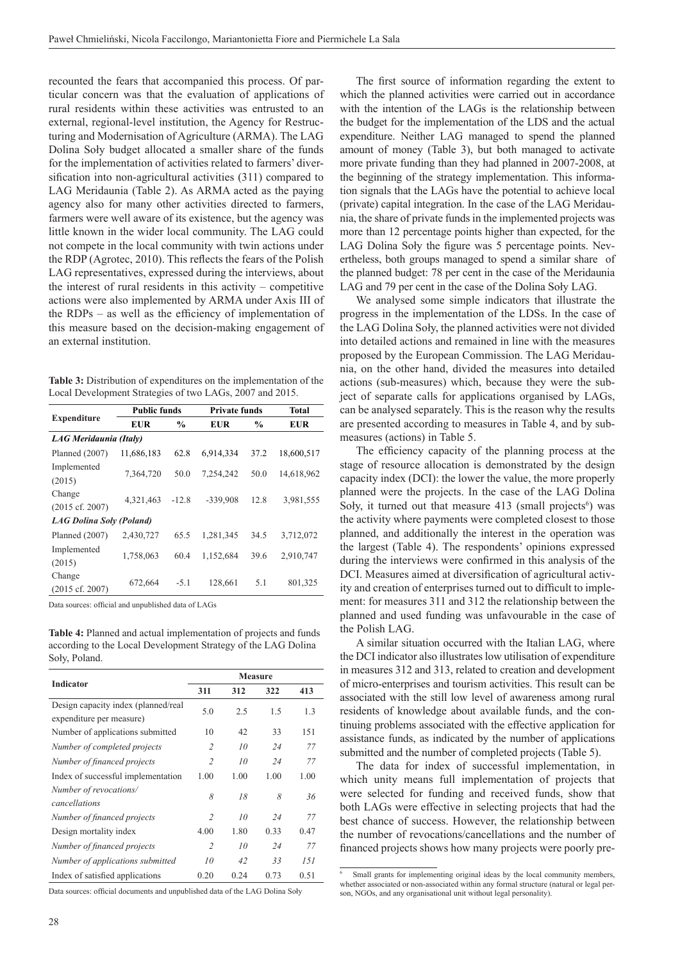recounted the fears that accompanied this process. Of particular concern was that the evaluation of applications of rural residents within these activities was entrusted to an external, regional-level institution, the Agency for Restructuring and Modernisation of Agriculture (ARMA). The LAG Dolina Soły budget allocated a smaller share of the funds for the implementation of activities related to farmers' diversification into non-agricultural activities (311) compared to LAG Meridaunia (Table 2). As ARMA acted as the paying agency also for many other activities directed to farmers, farmers were well aware of its existence, but the agency was little known in the wider local community. The LAG could not compete in the local community with twin actions under the RDP (Agrotec, 2010). This reflects the fears of the Polish LAG representatives, expressed during the interviews, about the interest of rural residents in this activity – competitive actions were also implemented by ARMA under Axis III of the RDPs – as well as the efficiency of implementation of this measure based on the decision-making engagement of an external institution.

**Table 3:** Distribution of expenditures on the implementation of the Local Development Strategies of two LAGs, 2007 and 2015.

|                                      | <b>Public funds</b> |               | <b>Private funds</b> | <b>Total</b> |            |  |  |  |
|--------------------------------------|---------------------|---------------|----------------------|--------------|------------|--|--|--|
| <b>Expenditure</b>                   | <b>EUR</b>          | $\frac{6}{9}$ | <b>EUR</b>           | $\%$         | <b>EUR</b> |  |  |  |
| LAG Meridaunia (Italy)               |                     |               |                      |              |            |  |  |  |
| Planned (2007)                       | 11,686,183          | 62.8          | 6,914,334            | 37.2         | 18,600,517 |  |  |  |
| Implemented<br>(2015)                | 7,364,720           | 50.0          | 7,254,242            | 50.0         | 14,618,962 |  |  |  |
| Change<br>$(2015 \text{ cf. } 2007)$ | 4,321,463           | $-12.8$       | -339,908             | 12.8         | 3,981,555  |  |  |  |
| <b>LAG Dolina Soly (Poland)</b>      |                     |               |                      |              |            |  |  |  |
| Planned $(2007)$                     | 2,430,727           | 65.5          | 1,281,345            | 34.5         | 3,712,072  |  |  |  |
| Implemented<br>(2015)                | 1,758,063           | 60.4          | 1,152,684            | 39.6         | 2,910,747  |  |  |  |
| Change<br>$(2015 \text{ cf. } 2007)$ | 672,664             | $-5.1$        | 128,661              | 5.1          | 801,325    |  |  |  |

Data sources: official and unpublished data of LAGs

**Table 4:** Planned and actual implementation of projects and funds according to the Local Development Strategy of the LAG Dolina Soły, Poland.

|                                                                 | <b>Measure</b> |      |      |      |  |  |  |
|-----------------------------------------------------------------|----------------|------|------|------|--|--|--|
| <b>Indicator</b>                                                | 311            | 312  | 322  | 413  |  |  |  |
| Design capacity index (planned/real<br>expenditure per measure) | 5.0            | 2.5  | 1.5  | 1.3  |  |  |  |
| Number of applications submitted                                | 10             | 42   | 33   | 151  |  |  |  |
| Number of completed projects                                    | $\overline{c}$ | 10   | 24   | 77   |  |  |  |
| Number of financed projects                                     | $\overline{2}$ | 10   | 24   | 77   |  |  |  |
| Index of successful implementation                              | 1.00           | 1.00 | 1.00 | 1.00 |  |  |  |
| Number of revocations/<br>cancellations                         | 8              | 18   | 8    | 36   |  |  |  |
| Number of financed projects                                     | $\overline{2}$ | 10   | 24   | 77   |  |  |  |
| Design mortality index                                          | 4.00           | 1.80 | 0.33 | 0.47 |  |  |  |
| Number of financed projects                                     | $\overline{2}$ | 10   | 24   | 77   |  |  |  |
| Number of applications submitted                                | 10             | 42   | 33   | 151  |  |  |  |
| Index of satisfied applications                                 | 0.20           | 0.24 | 0.73 | 0.51 |  |  |  |

Data sources: official documents and unpublished data of the LAG Dolina Soły

The first source of information regarding the extent to which the planned activities were carried out in accordance with the intention of the LAGs is the relationship between the budget for the implementation of the LDS and the actual expenditure. Neither LAG managed to spend the planned amount of money (Table 3), but both managed to activate more private funding than they had planned in 2007-2008, at the beginning of the strategy implementation. This information signals that the LAGs have the potential to achieve local (private) capital integration. In the case of the LAG Meridaunia, the share of private funds in the implemented projects was more than 12 percentage points higher than expected, for the LAG Dolina Soły the figure was 5 percentage points. Nevertheless, both groups managed to spend a similar share of the planned budget: 78 per cent in the case of the Meridaunia LAG and 79 per cent in the case of the Dolina Soły LAG.

We analysed some simple indicators that illustrate the progress in the implementation of the LDSs. In the case of the LAG Dolina Soły, the planned activities were not divided into detailed actions and remained in line with the measures proposed by the European Commission. The LAG Meridaunia, on the other hand, divided the measures into detailed actions (sub-measures) which, because they were the subject of separate calls for applications organised by LAGs, can be analysed separately. This is the reason why the results are presented according to measures in Table 4, and by submeasures (actions) in Table 5.

The efficiency capacity of the planning process at the stage of resource allocation is demonstrated by the design capacity index (DCI): the lower the value, the more properly planned were the projects. In the case of the LAG Dolina Soły, it turned out that measure 413 (small projects<sup>6</sup>) was the activity where payments were completed closest to those planned, and additionally the interest in the operation was the largest (Table 4). The respondents' opinions expressed during the interviews were confirmed in this analysis of the DCI. Measures aimed at diversification of agricultural activity and creation of enterprises turned out to difficult to implement: for measures 311 and 312 the relationship between the planned and used funding was unfavourable in the case of the Polish LAG.

A similar situation occurred with the Italian LAG, where the DCI indicator also illustrates low utilisation of expenditure in measures 312 and 313, related to creation and development of micro-enterprises and tourism activities. This result can be associated with the still low level of awareness among rural residents of knowledge about available funds, and the continuing problems associated with the effective application for assistance funds, as indicated by the number of applications submitted and the number of completed projects (Table 5).

The data for index of successful implementation, in which unity means full implementation of projects that were selected for funding and received funds, show that both LAGs were effective in selecting projects that had the best chance of success. However, the relationship between the number of revocations/cancellations and the number of financed projects shows how many projects were poorly pre-

Small grants for implementing original ideas by the local community members, whether associated or non-associated within any formal structure (natural or legal person, NGOs, and any organisational unit without legal personality).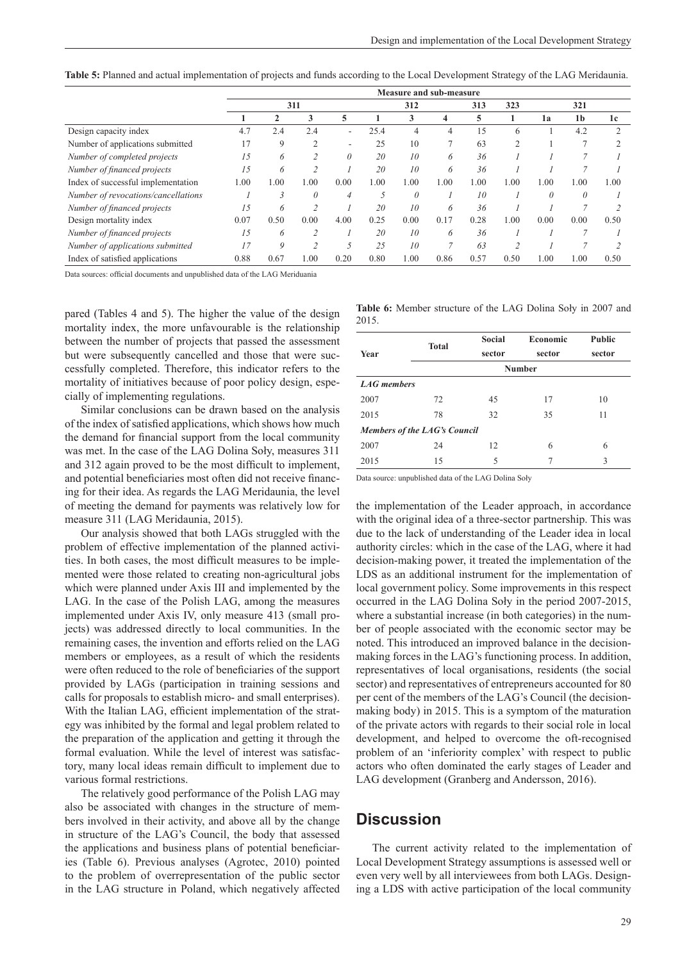**Table 5:** Planned and actual implementation of projects and funds according to the Local Development Strategy of the LAG Meridaunia.

|                                     | Measure and sub-measure |      |      |                          |      |          |      |      |                |          |                |                |
|-------------------------------------|-------------------------|------|------|--------------------------|------|----------|------|------|----------------|----------|----------------|----------------|
|                                     | 311                     |      |      | 312                      |      | 313      | 323  | 321  |                |          |                |                |
|                                     |                         |      | 3    | 5                        |      | 3        | 4    | 5    |                | 1a       | 1 <sub>b</sub> | 1c             |
| Design capacity index               | 4.7                     | 2.4  | 2.4  | $\overline{\phantom{a}}$ | 25.4 | 4        | 4    | 15   | 6              |          | 4.2            | $\overline{c}$ |
| Number of applications submitted    | 17                      | 9    | 2    | $\overline{\phantom{a}}$ | 25   | 10       |      | 63   | $\overline{c}$ |          |                |                |
| Number of completed projects        | 15                      | 6    |      | $\theta$                 | 20   | 10       | 6    | 36   |                |          |                |                |
| Number of financed projects         | 15                      | 6    |      |                          | 20   | 10       | 6    | 36   |                |          |                |                |
| Index of successful implementation  | 1.00                    | 1.00 | 00.  | 0.00                     | 1.00 | 1.00     | 1.00 | 1.00 | 1.00           | 1.00     | 1.00           | 1.00           |
| Number of revocations/cancellations |                         | 3    | 0    | 4                        |      | $\theta$ |      | 10   |                | $\theta$ | $\theta$       |                |
| Number of financed projects         | 15                      | 6    |      |                          | 20   | 10       | 6    | 36   |                |          |                |                |
| Design mortality index              | 0.07                    | 0.50 | 0.00 | 4.00                     | 0.25 | 0.00     | 0.17 | 0.28 | 1.00           | 0.00     | 0.00           | 0.50           |
| Number of financed projects         | 15                      | 6    |      |                          | 20   | 10       | 6    | 36   |                |          |                |                |
| Number of applications submitted    | 17                      | 9    |      |                          | 25   | 10       |      | 63   |                |          |                |                |
| Index of satisfied applications     | 0.88                    | 0.67 | 00.1 | 0.20                     | 0.80 | 1.00     | 0.86 | 0.57 | 0.50           | 1.00     | 1.00           | 0.50           |

Data sources: official documents and unpublished data of the LAG Meriduania

pared (Tables 4 and 5). The higher the value of the design mortality index, the more unfavourable is the relationship between the number of projects that passed the assessment but were subsequently cancelled and those that were successfully completed. Therefore, this indicator refers to the mortality of initiatives because of poor policy design, especially of implementing regulations.

Similar conclusions can be drawn based on the analysis of the index of satisfied applications, which shows how much the demand for financial support from the local community was met. In the case of the LAG Dolina Soły, measures 311 and 312 again proved to be the most difficult to implement, and potential beneficiaries most often did not receive financing for their idea. As regards the LAG Meridaunia, the level of meeting the demand for payments was relatively low for measure 311 (LAG Meridaunia, 2015).

Our analysis showed that both LAGs struggled with the problem of effective implementation of the planned activities. In both cases, the most difficult measures to be implemented were those related to creating non-agricultural jobs which were planned under Axis III and implemented by the LAG. In the case of the Polish LAG, among the measures implemented under Axis IV, only measure 413 (small projects) was addressed directly to local communities. In the remaining cases, the invention and efforts relied on the LAG members or employees, as a result of which the residents were often reduced to the role of beneficiaries of the support provided by LAGs (participation in training sessions and calls for proposals to establish micro- and small enterprises). With the Italian LAG, efficient implementation of the strategy was inhibited by the formal and legal problem related to the preparation of the application and getting it through the formal evaluation. While the level of interest was satisfactory, many local ideas remain difficult to implement due to various formal restrictions.

The relatively good performance of the Polish LAG may also be associated with changes in the structure of members involved in their activity, and above all by the change in structure of the LAG's Council, the body that assessed the applications and business plans of potential beneficiaries (Table 6). Previous analyses (Agrotec, 2010) pointed to the problem of overrepresentation of the public sector in the LAG structure in Poland, which negatively affected **Table 6:** Member structure of the LAG Dolina Soły in 2007 and 2015.

|               | Social       | <b>Economic</b>              | <b>Public</b> |  |  |  |  |  |  |
|---------------|--------------|------------------------------|---------------|--|--|--|--|--|--|
| sector        |              | sector                       | sector        |  |  |  |  |  |  |
| <b>Number</b> |              |                              |               |  |  |  |  |  |  |
| LAG members   |              |                              |               |  |  |  |  |  |  |
| 72            | 45           | 17                           | 10            |  |  |  |  |  |  |
| 78            | 32           | 35                           | 11            |  |  |  |  |  |  |
|               |              |                              |               |  |  |  |  |  |  |
| 24            | 12           | 6                            | 6             |  |  |  |  |  |  |
| 15            | 5            | 7                            | 3             |  |  |  |  |  |  |
|               | <b>Total</b> | Members of the LAG's Council |               |  |  |  |  |  |  |

Data source: unpublished data of the LAG Dolina Soły

the implementation of the Leader approach, in accordance with the original idea of a three-sector partnership. This was due to the lack of understanding of the Leader idea in local authority circles: which in the case of the LAG, where it had decision-making power, it treated the implementation of the LDS as an additional instrument for the implementation of local government policy. Some improvements in this respect occurred in the LAG Dolina Soły in the period 2007-2015, where a substantial increase (in both categories) in the number of people associated with the economic sector may be noted. This introduced an improved balance in the decisionmaking forces in the LAG's functioning process. In addition, representatives of local organisations, residents (the social sector) and representatives of entrepreneurs accounted for 80 per cent of the members of the LAG's Council (the decisionmaking body) in 2015. This is a symptom of the maturation of the private actors with regards to their social role in local development, and helped to overcome the oft-recognised problem of an 'inferiority complex' with respect to public actors who often dominated the early stages of Leader and LAG development (Granberg and Andersson, 2016).

### **Discussion**

The current activity related to the implementation of Local Development Strategy assumptions is assessed well or even very well by all interviewees from both LAGs. Designing a LDS with active participation of the local community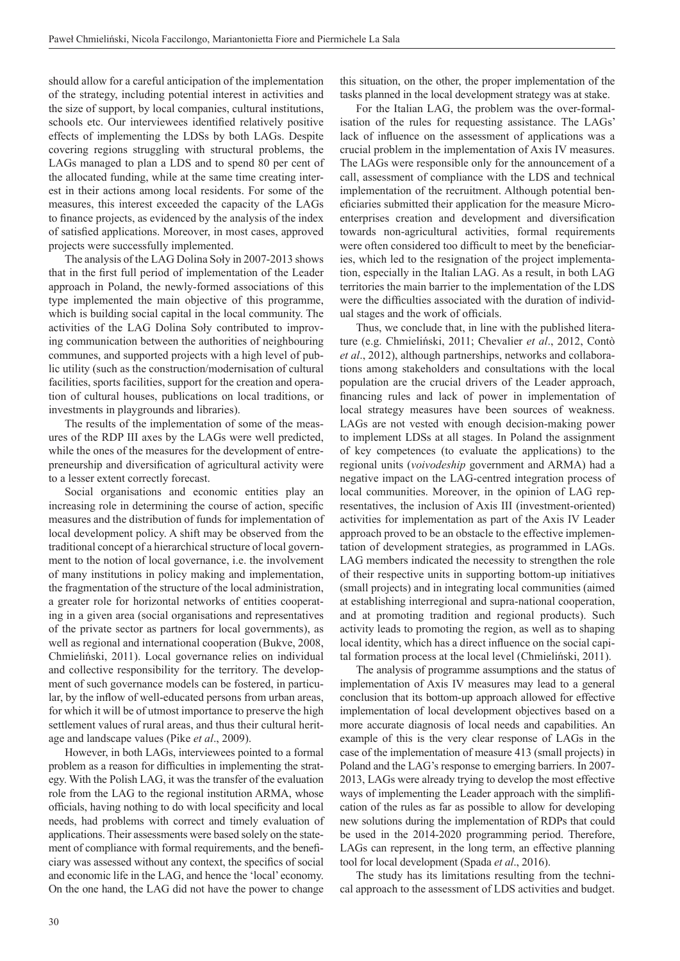should allow for a careful anticipation of the implementation of the strategy, including potential interest in activities and the size of support, by local companies, cultural institutions, schools etc. Our interviewees identified relatively positive effects of implementing the LDSs by both LAGs. Despite covering regions struggling with structural problems, the LAGs managed to plan a LDS and to spend 80 per cent of the allocated funding, while at the same time creating interest in their actions among local residents. For some of the measures, this interest exceeded the capacity of the LAGs to finance projects, as evidenced by the analysis of the index of satisfied applications. Moreover, in most cases, approved projects were successfully implemented.

The analysis of the LAG Dolina Soły in 2007-2013 shows that in the first full period of implementation of the Leader approach in Poland, the newly-formed associations of this type implemented the main objective of this programme, which is building social capital in the local community. The activities of the LAG Dolina Soły contributed to improving communication between the authorities of neighbouring communes, and supported projects with a high level of public utility (such as the construction/modernisation of cultural facilities, sports facilities, support for the creation and operation of cultural houses, publications on local traditions, or investments in playgrounds and libraries).

The results of the implementation of some of the measures of the RDP III axes by the LAGs were well predicted, while the ones of the measures for the development of entrepreneurship and diversification of agricultural activity were to a lesser extent correctly forecast.

Social organisations and economic entities play an increasing role in determining the course of action, specific measures and the distribution of funds for implementation of local development policy. A shift may be observed from the traditional concept of a hierarchical structure of local government to the notion of local governance, i.e. the involvement of many institutions in policy making and implementation, the fragmentation of the structure of the local administration, a greater role for horizontal networks of entities cooperating in a given area (social organisations and representatives of the private sector as partners for local governments), as well as regional and international cooperation (Bukve, 2008, Chmieliński, 2011). Local governance relies on individual and collective responsibility for the territory. The development of such governance models can be fostered, in particular, by the inflow of well-educated persons from urban areas, for which it will be of utmost importance to preserve the high settlement values of rural areas, and thus their cultural heritage and landscape values (Pike *et al*., 2009).

However, in both LAGs, interviewees pointed to a formal problem as a reason for difficulties in implementing the strategy. With the Polish LAG, it was the transfer of the evaluation role from the LAG to the regional institution ARMA, whose officials, having nothing to do with local specificity and local needs, had problems with correct and timely evaluation of applications. Their assessments were based solely on the statement of compliance with formal requirements, and the beneficiary was assessed without any context, the specifics of social and economic life in the LAG, and hence the 'local' economy. On the one hand, the LAG did not have the power to change

this situation, on the other, the proper implementation of the tasks planned in the local development strategy was at stake.

For the Italian LAG, the problem was the over-formalisation of the rules for requesting assistance. The LAGs' lack of influence on the assessment of applications was a crucial problem in the implementation of Axis IV measures. The LAGs were responsible only for the announcement of a call, assessment of compliance with the LDS and technical implementation of the recruitment. Although potential beneficiaries submitted their application for the measure Microenterprises creation and development and diversification towards non-agricultural activities, formal requirements were often considered too difficult to meet by the beneficiaries, which led to the resignation of the project implementation, especially in the Italian LAG. As a result, in both LAG territories the main barrier to the implementation of the LDS were the difficulties associated with the duration of individual stages and the work of officials.

Thus, we conclude that, in line with the published literature (e.g. Chmieliński, 2011; Chevalier *et al*., 2012, Contò *et al*., 2012), although partnerships, networks and collaborations among stakeholders and consultations with the local population are the crucial drivers of the Leader approach, financing rules and lack of power in implementation of local strategy measures have been sources of weakness. LAGs are not vested with enough decision-making power to implement LDSs at all stages. In Poland the assignment of key competences (to evaluate the applications) to the regional units (*voivodeship* government and ARMA) had a negative impact on the LAG-centred integration process of local communities. Moreover, in the opinion of LAG representatives, the inclusion of Axis III (investment-oriented) activities for implementation as part of the Axis IV Leader approach proved to be an obstacle to the effective implementation of development strategies, as programmed in LAGs. LAG members indicated the necessity to strengthen the role of their respective units in supporting bottom-up initiatives (small projects) and in integrating local communities (aimed at establishing interregional and supra-national cooperation, and at promoting tradition and regional products). Such activity leads to promoting the region, as well as to shaping local identity, which has a direct influence on the social capital formation process at the local level (Chmieliński, 2011).

The analysis of programme assumptions and the status of implementation of Axis IV measures may lead to a general conclusion that its bottom-up approach allowed for effective implementation of local development objectives based on a more accurate diagnosis of local needs and capabilities. An example of this is the very clear response of LAGs in the case of the implementation of measure 413 (small projects) in Poland and the LAG's response to emerging barriers. In 2007- 2013, LAGs were already trying to develop the most effective ways of implementing the Leader approach with the simplification of the rules as far as possible to allow for developing new solutions during the implementation of RDPs that could be used in the 2014-2020 programming period. Therefore, LAGs can represent, in the long term, an effective planning tool for local development (Spada *et al*., 2016).

The study has its limitations resulting from the technical approach to the assessment of LDS activities and budget.